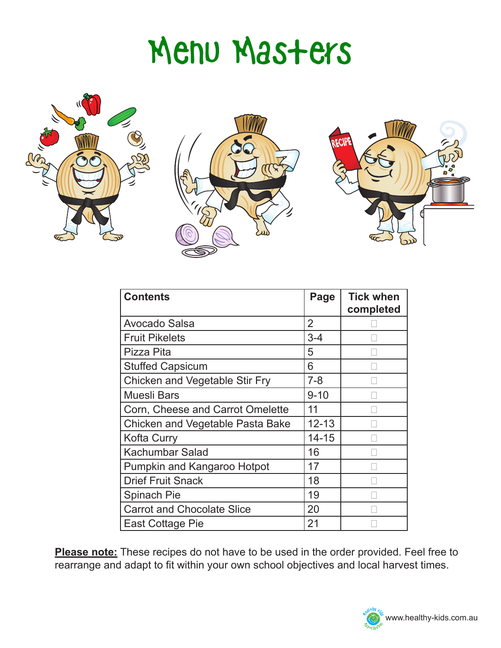# Menu Masters



| <b>Contents</b>                   | Page           | <b>Tick when</b><br>completed |
|-----------------------------------|----------------|-------------------------------|
| <b>Avocado Salsa</b>              | $\overline{2}$ |                               |
| <b>Fruit Pikelets</b>             | $3 - 4$        |                               |
| Pizza Pita                        | 5              |                               |
| <b>Stuffed Capsicum</b>           | 6              |                               |
| Chicken and Vegetable Stir Fry    | $7 - 8$        |                               |
| <b>Muesli Bars</b>                | $9 - 10$       |                               |
| Corn, Cheese and Carrot Omelette  | 11             |                               |
| Chicken and Vegetable Pasta Bake  | $12 - 13$      |                               |
| <b>Kofta Curry</b>                | $14 - 15$      |                               |
| Kachumbar Salad                   | 16             |                               |
| Pumpkin and Kangaroo Hotpot       | 17             |                               |
| <b>Drief Fruit Snack</b>          | 18             |                               |
| <b>Spinach Pie</b>                | 19             |                               |
| <b>Carrot and Chocolate Slice</b> | 20             |                               |
| East Cottage Pie                  | 21             |                               |

**Please note:** These recipes do not have to be used in the order provided. Feel free to rearrange and adapt to fit within your own school objectives and local harvest times.

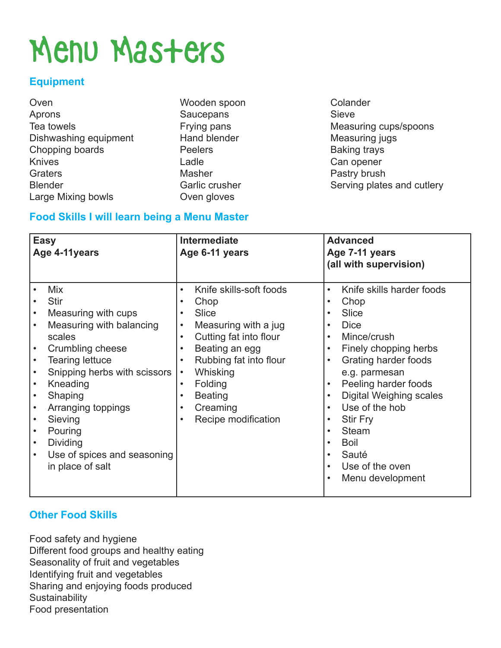# Menu Masters

#### **Equipment**

| Oven                  | Woode    |
|-----------------------|----------|
| Aprons                | Saucep   |
| Tea towels            | Frying   |
| Dishwashing equipment | Hand b   |
| Chopping boards       | Peelers  |
| <b>Knives</b>         | Ladle    |
| Graters               | Masher   |
| <b>Blender</b>        | Garlic o |
| Large Mixing bowls    | Oven g   |

n spoon dans pans **Mender** Peelers Masher crusher **loves** 

**Colander Sieve** Measuring cups/spoons Measuring jugs Baking trays Can opener Pastry brush Serving plates and cutlery

#### **Food Skills I will learn being a Menu Master**

|           | <b>Easy</b><br>Age 4-11years | <b>Intermediate</b><br>Age 6-11 years |                         | <b>Advanced</b><br>Age 7-11 years<br>(all with supervision) |                           |
|-----------|------------------------------|---------------------------------------|-------------------------|-------------------------------------------------------------|---------------------------|
|           | Mix                          | $\bullet$                             | Knife skills-soft foods | $\bullet$                                                   | Knife skills harder foods |
|           | Stir                         | $\bullet$                             | Chop                    |                                                             | Chop                      |
|           | Measuring with cups          | $\bullet$                             | <b>Slice</b>            |                                                             | <b>Slice</b>              |
| $\bullet$ | Measuring with balancing     | $\bullet$                             | Measuring with a jug    | $\bullet$                                                   | <b>Dice</b>               |
|           | scales                       | $\bullet$                             | Cutting fat into flour  |                                                             | Mince/crush               |
| $\bullet$ | Crumbling cheese             | $\bullet$                             | Beating an egg          | $\bullet$                                                   | Finely chopping herbs     |
| ٠         | <b>Tearing lettuce</b>       | $\bullet$                             | Rubbing fat into flour  | $\bullet$                                                   | Grating harder foods      |
|           | Snipping herbs with scissors | $\bullet$                             | Whisking                |                                                             | e.g. parmesan             |
| ٠         | Kneading                     | $\bullet$                             | Folding                 |                                                             | Peeling harder foods      |
|           | Shaping                      | $\bullet$                             | <b>Beating</b>          |                                                             | Digital Weighing scales   |
|           | Arranging toppings           | $\bullet$                             | Creaming                | $\bullet$                                                   | Use of the hob            |
| $\bullet$ | Sieving                      | $\bullet$                             | Recipe modification     |                                                             | <b>Stir Fry</b>           |
| $\bullet$ | Pouring                      |                                       |                         | $\bullet$                                                   | <b>Steam</b>              |
| $\bullet$ | Dividing                     |                                       |                         | $\bullet$                                                   | <b>Boil</b>               |
|           | Use of spices and seasoning  |                                       |                         | $\bullet$                                                   | Sauté                     |
|           | in place of salt             |                                       |                         |                                                             | Use of the oven           |
|           |                              |                                       |                         | $\bullet$                                                   | Menu development          |
|           |                              |                                       |                         |                                                             |                           |

#### **Other Food Skills**

Food safety and hygiene Different food groups and healthy eating Seasonality of fruit and vegetables Identifying fruit and vegetables Sharing and enjoying foods produced **Sustainability** Food presentation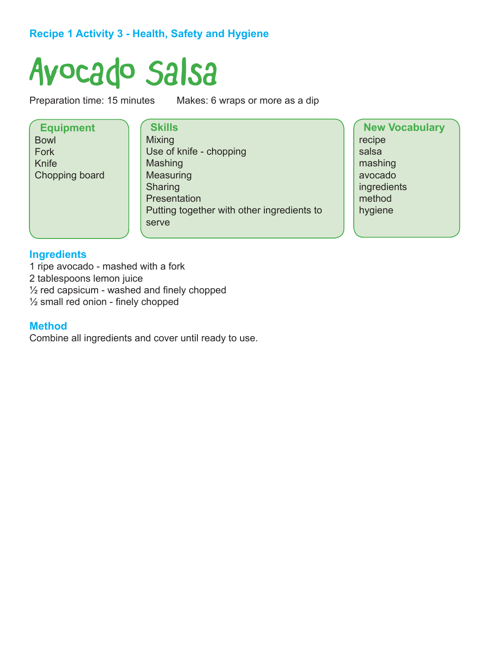# **Recipe 1 Activity 3 - Health, Safety and Hygiene**

# Avocado Salsa

Preparation time: 15 minutes Makes: 6 wraps or more as a dip

**Equipment** Bowl Fork Knife Chopping board

**Skills** Mixing Use of knife - chopping **Mashing Measuring Sharing Presentation** Putting together with other ingredients to serve

**New Vocabulary** recipe salsa mashing avocado ingredients method hygiene

#### **Ingredients**

1 ripe avocado - mashed with a fork 2 tablespoons lemon juice  $\frac{1}{2}$  red capsicum - washed and finely chopped ½ small red onion - finely chopped

#### **Method**

Combine all ingredients and cover until ready to use.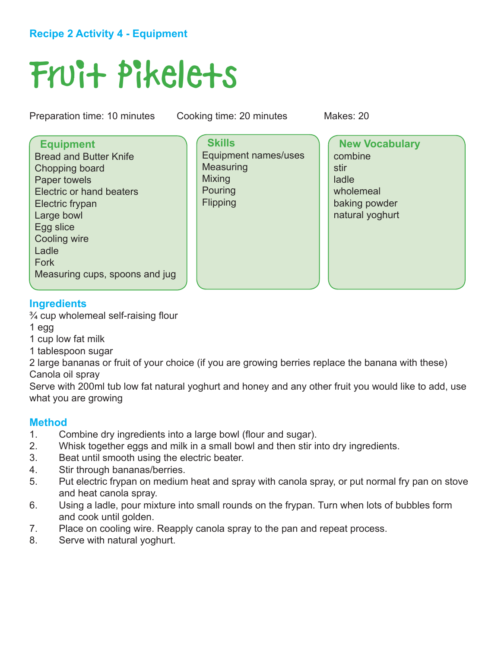## **Recipe 2 Activity 4 - Equipment**

# Fruit Pikelets

Preparation time: 10 minutes Cooking time: 20 minutes Makes: 20

**Equipment** Bread and Butter Knife Chopping board Paper towels Electric or hand beaters Electric frypan Large bowl Egg slice Cooling wire Ladle Fork Measuring cups, spoons and jug

**Skills** Equipment names/uses **Measuring Mixing Pouring Flipping** 

**New Vocabulary** combine stir ladle wholemeal baking powder natural yoghurt

### **Ingredients**

¾ cup wholemeal self-raising flour

- 1 egg
- 1 cup low fat milk
- 1 tablespoon sugar

2 large bananas or fruit of your choice (if you are growing berries replace the banana with these) Canola oil spray

Serve with 200ml tub low fat natural yoghurt and honey and any other fruit you would like to add, use what you are growing

- 1. Combine dry ingredients into a large bowl (flour and sugar).
- 2. Whisk together eggs and milk in a small bowl and then stir into dry ingredients.
- 3. Beat until smooth using the electric beater.
- 4. Stir through bananas/berries.
- 5. Put electric frypan on medium heat and spray with canola spray, or put normal fry pan on stove and heat canola spray.
- 6. Using a ladle, pour mixture into small rounds on the frypan. Turn when lots of bubbles form and cook until golden.
- 7. Place on cooling wire. Reapply canola spray to the pan and repeat process.
- 8. Serve with natural yoghurt.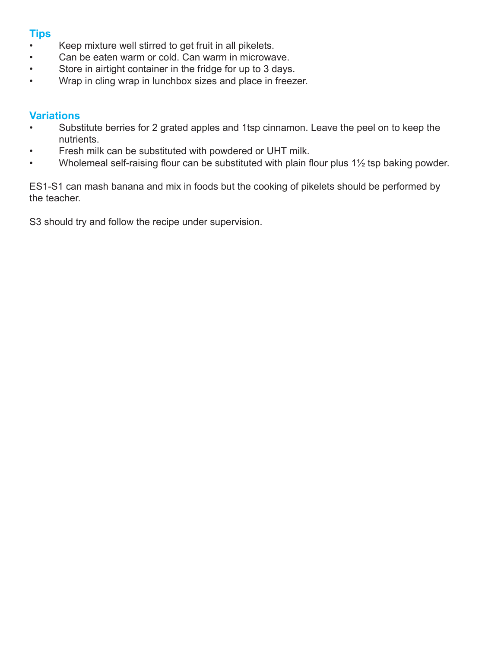#### **Tips**

- Keep mixture well stirred to get fruit in all pikelets.
- • Can be eaten warm or cold. Can warm in microwave.
- Store in airtight container in the fridge for up to 3 days.
- Wrap in cling wrap in lunchbox sizes and place in freezer.

#### **Variations**

- • Substitute berries for 2 grated apples and 1tsp cinnamon. Leave the peel on to keep the nutrients.
- Fresh milk can be substituted with powdered or UHT milk.
- Wholemeal self-raising flour can be substituted with plain flour plus 1½ tsp baking powder.

ES1-S1 can mash banana and mix in foods but the cooking of pikelets should be performed by the teacher.

S3 should try and follow the recipe under supervision.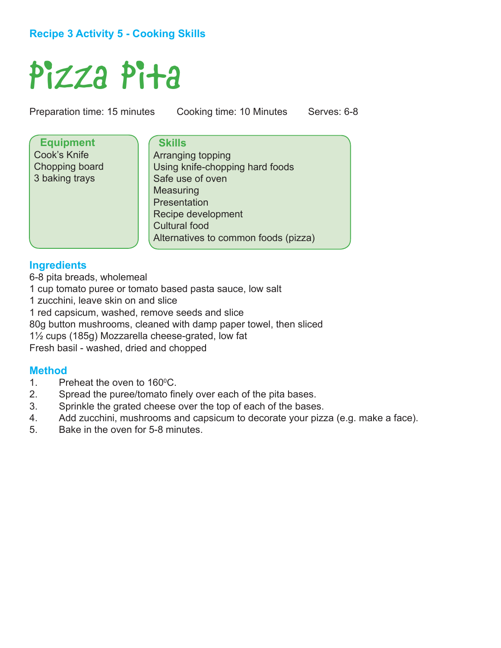## **Recipe 3 Activity 5 - Cooking Skills**

# Pizza Pita

Preparation time: 15 minutes Cooking time: 10 Minutes Serves: 6-8

**Equipment** Cook's Knife Chopping board 3 baking trays

**Skills** Arranging topping Using knife-chopping hard foods Safe use of oven **Measuring Presentation** Recipe development Cultural food Alternatives to common foods (pizza)

#### **Ingredients**

6-8 pita breads, wholemeal

1 cup tomato puree or tomato based pasta sauce, low salt

1 zucchini, leave skin on and slice

1 red capsicum, washed, remove seeds and slice

80g button mushrooms, cleaned with damp paper towel, then sliced

1½ cups (185g) Mozzarella cheese-grated, low fat

Fresh basil - washed, dried and chopped

- 1. Preheat the oven to  $160^{\circ}$ C.
- 2. Spread the puree/tomato finely over each of the pita bases.
- 3. Sprinkle the grated cheese over the top of each of the bases.
- 4. Add zucchini, mushrooms and capsicum to decorate your pizza (e.g. make a face).
- 5. Bake in the oven for 5-8 minutes.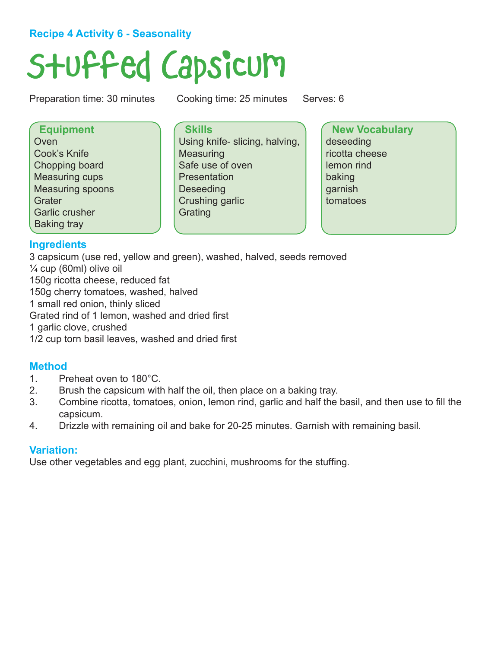### **Recipe 4 Activity 6 - Seasonality**

# Stuffed Capsicum

Preparation time: 30 minutes Cooking time: 25 minutes Serves: 6

**Equipment Oven** Cook's Knife Chopping board Measuring cups Measuring spoons **Grater** Garlic crusher Baking tray

**Skills** Using knife- slicing, halving, **Measuring** Safe use of oven **Presentation Deseeding** Crushing garlic Grating

**New Vocabulary** deseeding ricotta cheese lemon rind baking garnish tomatoes

#### **Ingredients**

3 capsicum (use red, yellow and green), washed, halved, seeds removed  $\frac{1}{4}$  cup (60ml) olive oil 150g ricotta cheese, reduced fat 150g cherry tomatoes, washed, halved 1 small red onion, thinly sliced Grated rind of 1 lemon, washed and dried first 1 garlic clove, crushed 1/2 cup torn basil leaves, washed and dried first

#### **Method**

- 1. Preheat oven to 180°C.
- 2. Brush the capsicum with half the oil, then place on a baking tray.
- 3. Combine ricotta, tomatoes, onion, lemon rind, garlic and half the basil, and then use to fill the capsicum.
- 4. Drizzle with remaining oil and bake for 20-25 minutes. Garnish with remaining basil.

#### **Variation:**

Use other vegetables and egg plant, zucchini, mushrooms for the stuffing.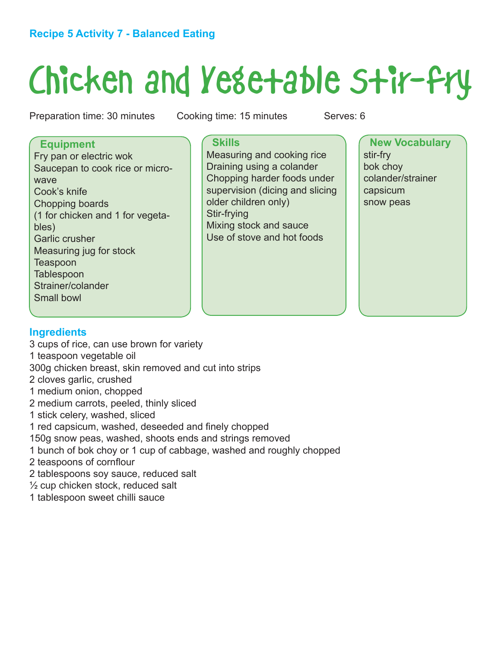### **Recipe 5 Activity 7 - Balanced Eating**

# Chicken and Vegetable Stir-fry

Preparation time: 30 minutes Cooking time: 15 minutes Serves: 6

#### **Equipment**

Fry pan or electric wok Saucepan to cook rice or microwave Cook's knife Chopping boards (1 for chicken and 1 for vegetables) Garlic crusher Measuring jug for stock **Teaspoon Tablespoon** Strainer/colander Small bowl

#### **Skills**

Measuring and cooking rice Draining using a colander Chopping harder foods under supervision (dicing and slicing older children only) Stir-frying Mixing stock and sauce Use of stove and hot foods

**New Vocabulary** stir-fry bok choy colander/strainer capsicum snow peas

#### **Ingredients**

- 3 cups of rice, can use brown for variety
- 1 teaspoon vegetable oil
- 300g chicken breast, skin removed and cut into strips
- 2 cloves garlic, crushed
- 1 medium onion, chopped
- 2 medium carrots, peeled, thinly sliced
- 1 stick celery, washed, sliced
- 1 red capsicum, washed, deseeded and finely chopped
- 150g snow peas, washed, shoots ends and strings removed
- 1 bunch of bok choy or 1 cup of cabbage, washed and roughly chopped
- 2 teaspoons of cornflour
- 2 tablespoons soy sauce, reduced salt
- ½ cup chicken stock, reduced salt
- 1 tablespoon sweet chilli sauce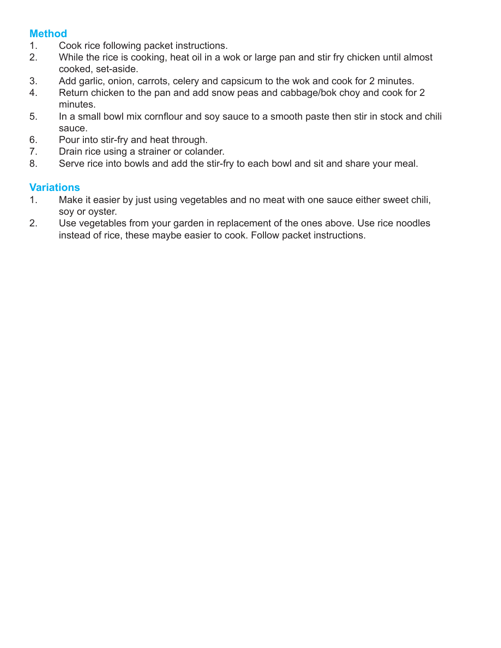### **Method**

- 1. Cook rice following packet instructions.
- 2. While the rice is cooking, heat oil in a wok or large pan and stir fry chicken until almost cooked, set-aside.
- 3. Add garlic, onion, carrots, celery and capsicum to the wok and cook for 2 minutes.
- 4. Return chicken to the pan and add snow peas and cabbage/bok choy and cook for 2 minutes.
- 5. In a small bowl mix cornflour and soy sauce to a smooth paste then stir in stock and chili sauce.
- 6. Pour into stir-fry and heat through.
- 7. Drain rice using a strainer or colander.
- 8. Serve rice into bowls and add the stir-fry to each bowl and sit and share your meal.

### **Variations**

- 1. Make it easier by just using vegetables and no meat with one sauce either sweet chili, soy or oyster.
- 2. Use vegetables from your garden in replacement of the ones above. Use rice noodles instead of rice, these maybe easier to cook. Follow packet instructions.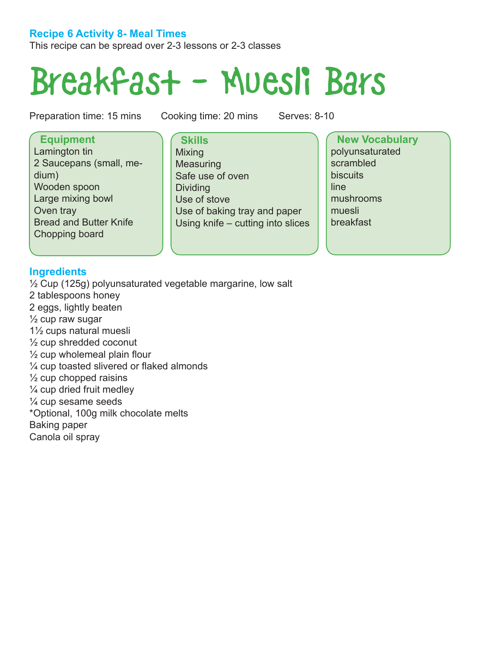# **Recipe 6 Activity 8- Meal Times**

This recipe can be spread over 2-3 lessons or 2-3 classes

# Breakfast - Muesli Bars

Preparation time: 15 mins Cooking time: 20 mins Serves: 8-10

**Equipment** 

Lamington tin 2 Saucepans (small, medium) Wooden spoon Large mixing bowl Oven tray Bread and Butter Knife Chopping board

**Skills** Mixing **Measuring** Safe use of oven **Dividing** Use of stove Use of baking tray and paper Using knife – cutting into slices

**New Vocabulary** polyunsaturated scrambled **biscuits** line mushrooms muesli breakfast

#### **Ingredients**

½ Cup (125g) polyunsaturated vegetable margarine, low salt 2 tablespoons honey 2 eggs, lightly beaten  $\frac{1}{2}$  cup raw sugar 1½ cups natural muesli ½ cup shredded coconut  $\frac{1}{2}$  cup wholemeal plain flour ¼ cup toasted slivered or flaked almonds  $\frac{1}{2}$  cup chopped raisins  $\frac{1}{4}$  cup dried fruit medley ¼ cup sesame seeds \*Optional, 100g milk chocolate melts Baking paper Canola oil spray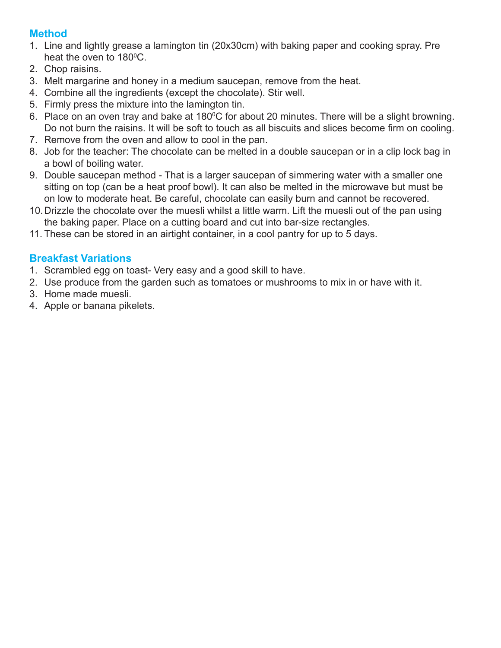### **Method**

- 1. Line and lightly grease a lamington tin (20x30cm) with baking paper and cooking spray. Pre heat the oven to 180 $^{\rm o}$ C.
- 2. Chop raisins.
- 3. Melt margarine and honey in a medium saucepan, remove from the heat.
- 4. Combine all the ingredients (except the chocolate). Stir well.
- 5. Firmly press the mixture into the lamington tin.
- 6. Place on an oven tray and bake at 180 $\mathrm{^oC}$  for about 20 minutes. There will be a slight browning. Do not burn the raisins. It will be soft to touch as all biscuits and slices become firm on cooling.
- 7. Remove from the oven and allow to cool in the pan.
- 8. Job for the teacher: The chocolate can be melted in a double saucepan or in a clip lock bag in a bowl of boiling water.
- 9. Double saucepan method That is a larger saucepan of simmering water with a smaller one sitting on top (can be a heat proof bowl). It can also be melted in the microwave but must be on low to moderate heat. Be careful, chocolate can easily burn and cannot be recovered.
- 10.Drizzle the chocolate over the muesli whilst a little warm. Lift the muesli out of the pan using the baking paper. Place on a cutting board and cut into bar-size rectangles.
- 11. These can be stored in an airtight container, in a cool pantry for up to 5 days.

## **Breakfast Variations**

- 1. Scrambled egg on toast- Very easy and a good skill to have.
- 2. Use produce from the garden such as tomatoes or mushrooms to mix in or have with it.
- 3. Home made muesli.
- 4. Apple or banana pikelets.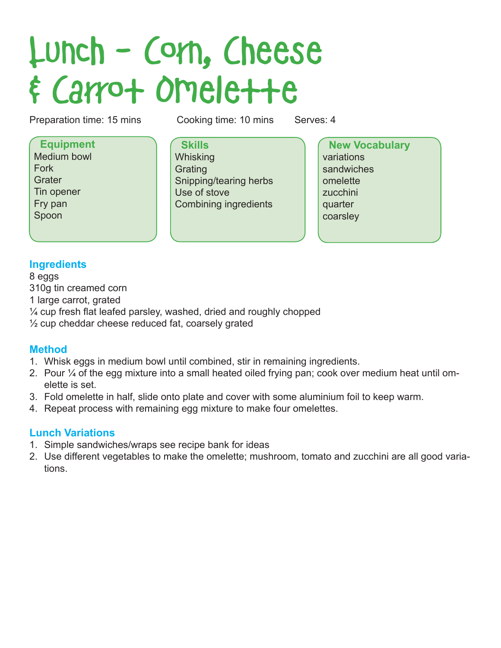# Lunch - Corn, Cheese  $\epsilon$  Carrot Omelette

Preparation time: 15 mins Cooking time: 10 mins Serves: 4

**Equipment** Medium bowl Fork **Grater** Tin opener Fry pan Spoon

**Skills Whisking Grating** Snipping/tearing herbs Use of stove Combining ingredients

**New Vocabulary** variations sandwiches omelette zucchini quarter coarsley

### **Ingredients**

8 eggs 310g tin creamed corn 1 large carrot, grated ¼ cup fresh flat leafed parsley, washed, dried and roughly chopped  $\frac{1}{2}$  cup cheddar cheese reduced fat, coarsely grated

#### **Method**

- 1. Whisk eggs in medium bowl until combined, stir in remaining ingredients.
- 2. Pour ¼ of the egg mixture into a small heated oiled frying pan; cook over medium heat until omelette is set.
- 3. Fold omelette in half, slide onto plate and cover with some aluminium foil to keep warm.
- 4. Repeat process with remaining egg mixture to make four omelettes.

## **Lunch Variations**

- 1. Simple sandwiches/wraps see recipe bank for ideas
- 2. Use different vegetables to make the omelette; mushroom, tomato and zucchini are all good variations.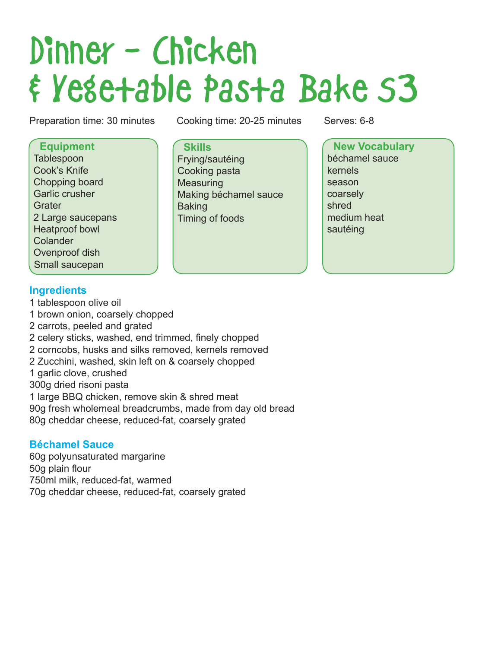# Dinner - Chicken & Vegetable Pasta Bake S3

Preparation time: 30 minutes Cooking time: 20-25 minutes Serves: 6-8

**Equipment Tablespoon** Cook's Knife Chopping board Garlic crusher Grater 2 Large saucepans Heatproof bowl Colander Ovenproof dish Small saucepan

### **Ingredients**

1 tablespoon olive oil 1 brown onion, coarsely chopped 2 carrots, peeled and grated 2 celery sticks, washed, end trimmed, finely chopped 2 corncobs, husks and silks removed, kernels removed 2 Zucchini, washed, skin left on & coarsely chopped 1 garlic clove, crushed 300g dried risoni pasta 1 large BBQ chicken, remove skin & shred meat 90g fresh wholemeal breadcrumbs, made from day old bread 80g cheddar cheese, reduced-fat, coarsely grated

#### **Béchamel Sauce**

60g polyunsaturated margarine 50g plain flour 750ml milk, reduced-fat, warmed 70g cheddar cheese, reduced-fat, coarsely grated

**Skills** Frying/sautéing Cooking pasta **Measuring** Making béchamel sauce **Baking** Timing of foods

**New Vocabulary** béchamel sauce kernels season coarsely shred medium heat sautéing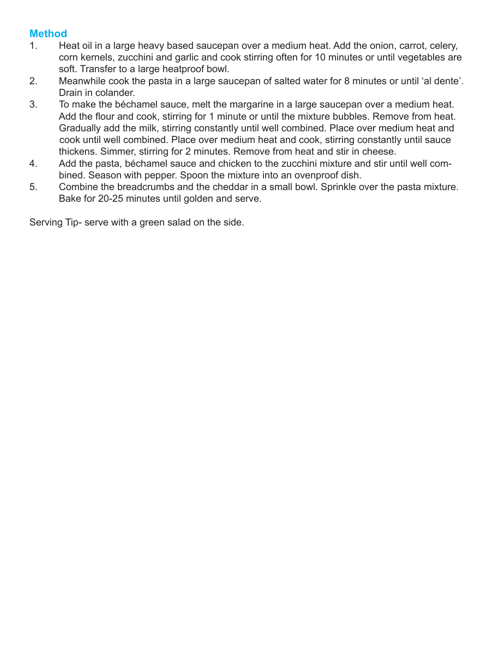### **Method**

- 1. Heat oil in a large heavy based saucepan over a medium heat. Add the onion, carrot, celery, corn kernels, zucchini and garlic and cook stirring often for 10 minutes or until vegetables are soft. Transfer to a large heatproof bowl.
- 2. Meanwhile cook the pasta in a large saucepan of salted water for 8 minutes or until 'al dente'. Drain in colander.
- 3. To make the béchamel sauce, melt the margarine in a large saucepan over a medium heat. Add the flour and cook, stirring for 1 minute or until the mixture bubbles. Remove from heat. Gradually add the milk, stirring constantly until well combined. Place over medium heat and cook until well combined. Place over medium heat and cook, stirring constantly until sauce thickens. Simmer, stirring for 2 minutes. Remove from heat and stir in cheese.
- 4. Add the pasta, béchamel sauce and chicken to the zucchini mixture and stir until well com bined. Season with pepper. Spoon the mixture into an ovenproof dish.
- 5. Combine the breadcrumbs and the cheddar in a small bowl. Sprinkle over the pasta mixture. Bake for 20-25 minutes until golden and serve.

Serving Tip- serve with a green salad on the side.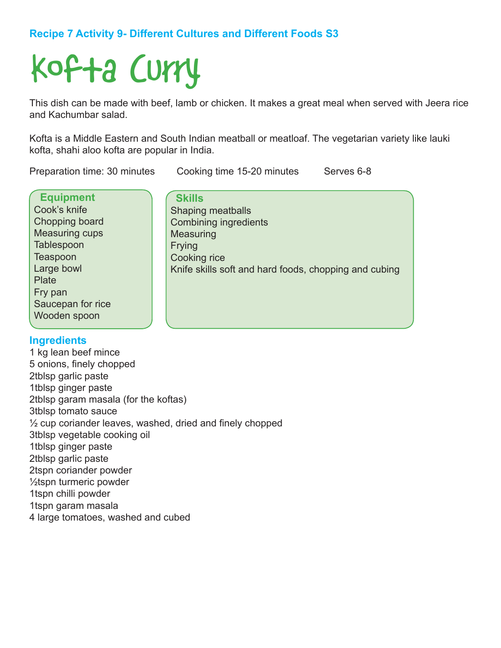## **Recipe 7 Activity 9- Different Cultures and Different Foods S3**

# Kofta Curry

This dish can be made with beef, lamb or chicken. It makes a great meal when served with Jeera rice and Kachumbar salad.

Kofta is a Middle Eastern and South Indian meatball or meatloaf. The vegetarian variety like lauki kofta, shahi aloo kofta are popular in India.

Preparation time: 30 minutes Cooking time 15-20 minutes Serves 6-8

| <b>Equipment</b>      | <b>Skills</b>                                         |
|-----------------------|-------------------------------------------------------|
| Cook's knife          | <b>Shaping meatballs</b>                              |
| Chopping board        | <b>Combining ingredients</b>                          |
| <b>Measuring cups</b> | Measuring                                             |
| Tablespoon            | Frying                                                |
| <b>Teaspoon</b>       | Cooking rice                                          |
| Large bowl            | Knife skills soft and hard foods, chopping and cubing |
| <b>Plate</b>          |                                                       |
| Fry pan               |                                                       |
| Saucepan for rice     |                                                       |
| Wooden spoon          |                                                       |
|                       |                                                       |

#### **Ingredients**

1 kg lean beef mince 5 onions, finely chopped 2tblsp garlic paste 1tblsp ginger paste 2tblsp garam masala (for the koftas) 3tblsp tomato sauce ½ cup coriander leaves, washed, dried and finely chopped 3tblsp vegetable cooking oil 1tblsp ginger paste 2tblsp garlic paste 2tspn coriander powder ½tspn turmeric powder 1tspn chilli powder 1tspn garam masala 4 large tomatoes, washed and cubed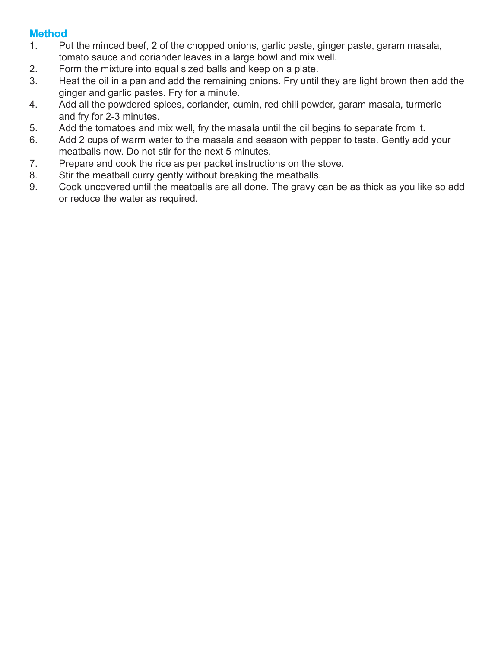- 1. Put the minced beef, 2 of the chopped onions, garlic paste, ginger paste, garam masala, tomato sauce and coriander leaves in a large bowl and mix well.
- 2. Form the mixture into equal sized balls and keep on a plate.
- 3. Heat the oil in a pan and add the remaining onions. Fry until they are light brown then add the ginger and garlic pastes. Fry for a minute.
- 4. Add all the powdered spices, coriander, cumin, red chili powder, garam masala, turmeric and fry for 2-3 minutes.
- 5. Add the tomatoes and mix well, fry the masala until the oil begins to separate from it.
- 6. Add 2 cups of warm water to the masala and season with pepper to taste. Gently add your meatballs now. Do not stir for the next 5 minutes.
- 7. Prepare and cook the rice as per packet instructions on the stove.
- 8. Stir the meatball curry gently without breaking the meatballs.
- 9. Cook uncovered until the meatballs are all done. The gravy can be as thick as you like so add or reduce the water as required.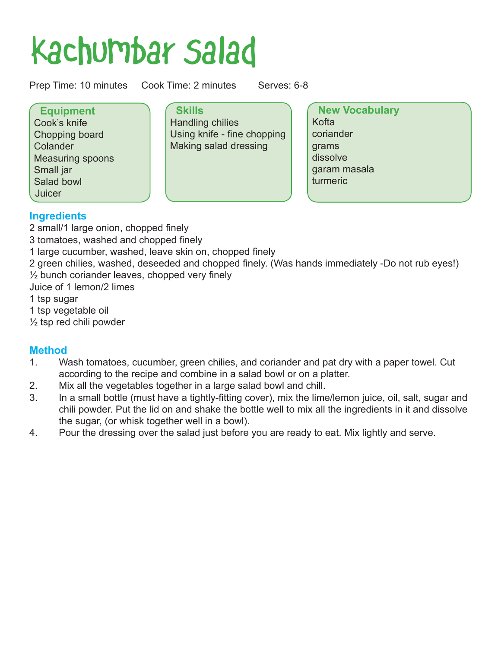# Kachumbar Salad

Prep Time: 10 minutes Cook Time: 2 minutes Serves: 6-8

#### **Equipment** Cook's knife Chopping board **Colander** Measuring spoons Small jar Salad bowl **Juicer**

**Skills** Handling chilies Using knife - fine chopping Making salad dressing

**New Vocabulary** Kofta coriander grams dissolve garam masala turmeric

## **Ingredients**

2 small/1 large onion, chopped finely 3 tomatoes, washed and chopped finely 1 large cucumber, washed, leave skin on, chopped finely 2 green chilies, washed, deseeded and chopped finely. (Was hands immediately -Do not rub eyes!)  $\frac{1}{2}$  bunch coriander leaves, chopped very finely Juice of 1 lemon/2 limes 1 tsp sugar 1 tsp vegetable oil

 $\frac{1}{2}$  tsp red chili powder

- 1. Wash tomatoes, cucumber, green chilies, and coriander and pat dry with a paper towel. Cut according to the recipe and combine in a salad bowl or on a platter.
- 2. Mix all the vegetables together in a large salad bowl and chill.<br>3 In a small bottle (must have a tightly-fitting cover) mix the lime
- In a small bottle (must have a tightly-fitting cover), mix the lime/lemon juice, oil, salt, sugar and chili powder. Put the lid on and shake the bottle well to mix all the ingredients in it and dissolve the sugar, (or whisk together well in a bowl).
- 4. Pour the dressing over the salad just before you are ready to eat. Mix lightly and serve.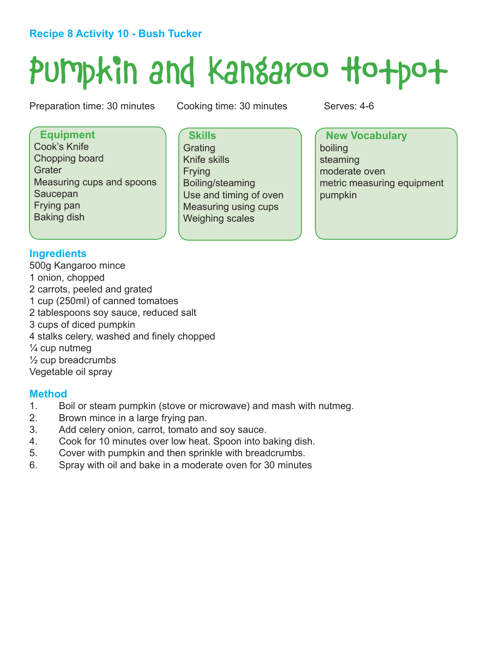## **Recipe 8 Activity 10 - Bush Tucker**

# Pumpkin and Kangaroo Hotpot

Preparation time: 30 minutes Cooking time: 30 minutes Serves: 4-6

**Equipment** Cook's Knife Chopping board **Grater** Measuring cups and spoons **Saucepan** Frying pan Baking dish

**Skills Grating** Knife skills Frying Boiling/steaming Use and timing of oven Measuring using cups Weighing scales

**New Vocabulary** boiling steaming moderate oven metric measuring equipment pumpkin

#### **Ingredients**

500g Kangaroo mince 1 onion, chopped 2 carrots, peeled and grated 1 cup (250ml) of canned tomatoes 2 tablespoons soy sauce, reduced salt 3 cups of diced pumpkin 4 stalks celery, washed and finely chopped ¼ cup nutmeg  $\frac{1}{2}$  cup breadcrumbs Vegetable oil spray

- 1. Boil or steam pumpkin (stove or microwave) and mash with nutmeg.
- 2. Brown mince in a large frying pan.
- 3. Add celery onion, carrot, tomato and soy sauce.
- 4. Cook for 10 minutes over low heat. Spoon into baking dish.
- 5. Cover with pumpkin and then sprinkle with breadcrumbs.
- 6. Spray with oil and bake in a moderate oven for 30 minutes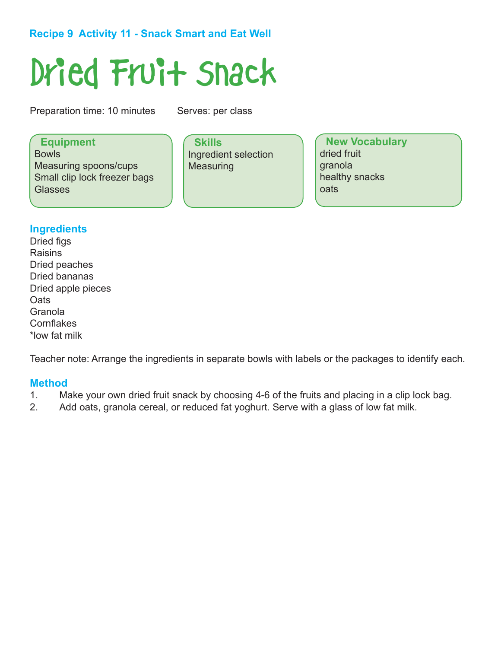## **Recipe 9 Activity 11 - Snack Smart and Eat Well**

# Dried Fruit Snack

Preparation time: 10 minutes Serves: per class

**Equipment Bowls** Measuring spoons/cups Small clip lock freezer bags **Glasses** 

**Skills** Ingredient selection **Measuring** 

**New Vocabulary** dried fruit granola healthy snacks oats

#### **Ingredients**

Dried figs **Raisins** Dried peaches Dried bananas Dried apple pieces **Oats Granola Cornflakes** \*low fat milk

Teacher note: Arrange the ingredients in separate bowls with labels or the packages to identify each.

- 1. Make your own dried fruit snack by choosing 4-6 of the fruits and placing in a clip lock bag.
- 2. Add oats, granola cereal, or reduced fat yoghurt. Serve with a glass of low fat milk.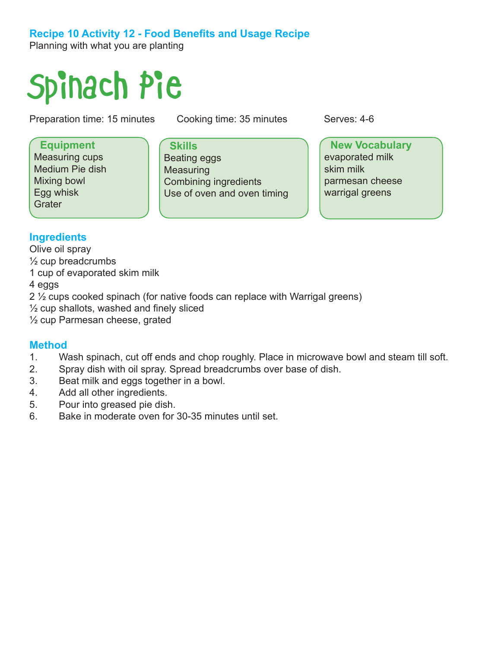## **Recipe 10 Activity 12 - Food Benefits and Usage Recipe**

Planning with what you are planting

# Spinach Pie

Preparation time: 15 minutes Cooking time: 35 minutes Serves: 4-6

#### **Equipment**

Measuring cups Medium Pie dish Mixing bowl Egg whisk **Grater** 

**Skills** Beating eggs **Measuring** Combining ingredients

Use of oven and oven timing

**New Vocabulary** evaporated milk skim milk parmesan cheese warrigal greens

### **Ingredients**

Olive oil spray  $\frac{1}{2}$  cup breadcrumbs 1 cup of evaporated skim milk 4 eggs 2 ½ cups cooked spinach (for native foods can replace with Warrigal greens)  $\frac{1}{2}$  cup shallots, washed and finely sliced ½ cup Parmesan cheese, grated

- 1. Wash spinach, cut off ends and chop roughly. Place in microwave bowl and steam till soft.
- 2. Spray dish with oil spray. Spread breadcrumbs over base of dish.
- 3. Beat milk and eggs together in a bowl.
- 4. Add all other ingredients.
- 5. Pour into greased pie dish.
- 6. Bake in moderate oven for 30-35 minutes until set.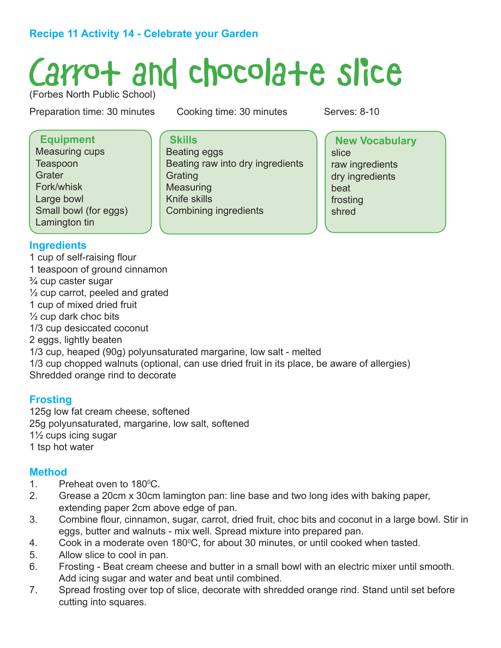## **Recipe 11 Activity 14 - Celebrate your Garden**

# Carrot and chocolate slice

**Skills**

**Grating Measuring** Knife skills

Beating eggs

(Forbes North Public School)

Preparation time: 30 minutes Cooking time: 30 minutes Serves: 8-10

Beating raw into dry ingredients

slice

beat frosting shred

**New Vocabulary**

raw ingredients dry ingredients

| <b>Equipment</b>      |
|-----------------------|
| <b>Measuring cups</b> |
| Teaspoon              |
| Grater                |
| Fork/whisk            |
| Large bowl            |
| Small bowl (for eggs) |
| Lamington tin         |

#### **Ingredients**

1 cup of self-raising flour 1 teaspoon of ground cinnamon ¾ cup caster sugar ½ cup carrot, peeled and grated 1 cup of mixed dried fruit ½ cup dark choc bits 1/3 cup desiccated coconut 2 eggs, lightly beaten 1/3 cup, heaped (90g) polyunsaturated margarine, low salt - melted 1/3 cup chopped walnuts (optional, can use dried fruit in its place, be aware of allergies) Shredded orange rind to decorate

Combining ingredients

#### **Frosting**

125g low fat cream cheese, softened 25g polyunsaturated, margarine, low salt, softened 1½ cups icing sugar 1 tsp hot water

- 1. Preheat oven to  $180^{\circ}$ C.
- 2. Grease a 20cm x 30cm lamington pan: line base and two long ides with baking paper, extending paper 2cm above edge of pan.
- 3. Combine flour, cinnamon, sugar, carrot, dried fruit, choc bits and coconut in a large bowl. Stir in eggs, butter and walnuts - mix well. Spread mixture into prepared pan.
- 4. Cook in a moderate oven 180 $^{\circ}$ C, for about 30 minutes, or until cooked when tasted.
- 5. Allow slice to cool in pan.
- 6. Frosting Beat cream cheese and butter in a small bowl with an electric mixer until smooth. Add icing sugar and water and beat until combined.
- 7. Spread frosting over top of slice, decorate with shredded orange rind. Stand until set before cutting into squares.